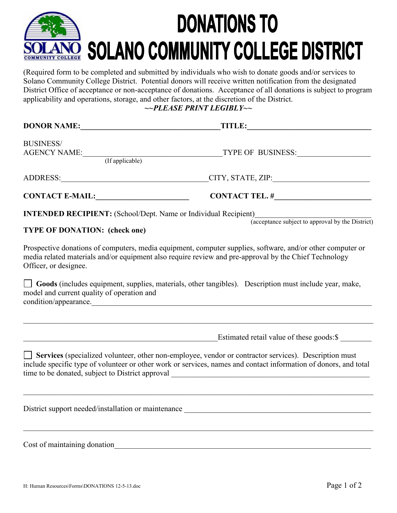## **DONATIONS TO** SOLANO COMMUNITY COLLEGE DISTRICT

(Required form to be completed and submitted by individuals who wish to donate goods and/or services to Solano Community College District. Potential donors will receive written notification from the designated District Office of acceptance or non-acceptance of donations. Acceptance of all donations is subject to program applicability and operations, storage, and other factors, at the discretion of the District.

*~~PLEASE PRINT LEGIBLY~~*

| <b>DONOR NAME:</b>                                                     | <b>TITLE:</b><br><u> 1980 - Jan Samuel Barbara, político establecente de la provincia de la provincia de la provincia de la provi</u>                                                                                     |  |  |
|------------------------------------------------------------------------|---------------------------------------------------------------------------------------------------------------------------------------------------------------------------------------------------------------------------|--|--|
| <b>BUSINESS/</b><br>AGENCY NAME: (If applicable)                       | TYPE OF BUSINESS:                                                                                                                                                                                                         |  |  |
|                                                                        |                                                                                                                                                                                                                           |  |  |
|                                                                        | ADDRESS: CHECK CITY, STATE, ZIP:                                                                                                                                                                                          |  |  |
| <b>CONTACT E-MAIL:</b>                                                 |                                                                                                                                                                                                                           |  |  |
| <b>INTENDED RECIPIENT:</b> (School/Dept. Name or Individual Recipient) | (acceptance subject to approval by the District)                                                                                                                                                                          |  |  |
| <b>TYPE OF DONATION: (check one)</b>                                   |                                                                                                                                                                                                                           |  |  |
| Officer, or designee.                                                  | Prospective donations of computers, media equipment, computer supplies, software, and/or other computer or<br>media related materials and/or equipment also require review and pre-approval by the Chief Technology       |  |  |
| model and current quality of operation and                             | Goods (includes equipment, supplies, materials, other tangibles). Description must include year, make,<br>condition/appearance.                                                                                           |  |  |
|                                                                        | Estimated retail value of these goods:\$                                                                                                                                                                                  |  |  |
|                                                                        |                                                                                                                                                                                                                           |  |  |
|                                                                        | Services (specialized volunteer, other non-employee, vendor or contractor services). Description must<br>include specific type of volunteer or other work or services, names and contact information of donors, and total |  |  |
|                                                                        |                                                                                                                                                                                                                           |  |  |
|                                                                        |                                                                                                                                                                                                                           |  |  |
| Cost of maintaining donation                                           |                                                                                                                                                                                                                           |  |  |